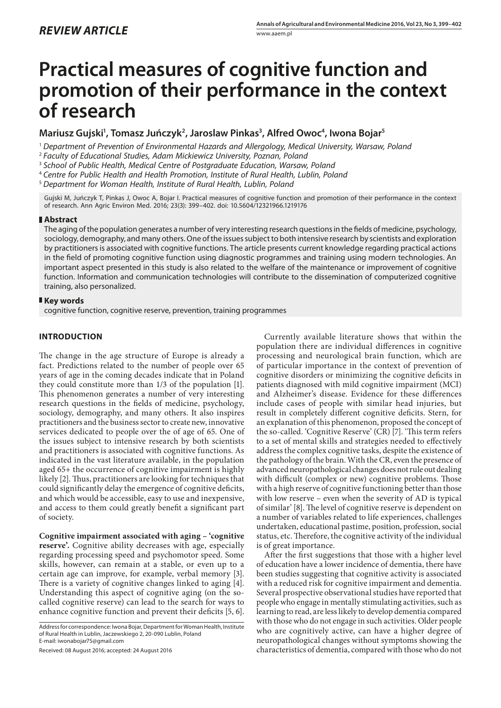# **Practical measures of cognitive function and promotion of their performance in the context of research**

## Mariusz Gujski<sup>ı</sup>, Tomasz Juńczyk<sup>2</sup>, Jaroslaw Pinkas<sup>3</sup>, Alfred Owoc<sup>4</sup>, Iwona Bojar<sup>s</sup>

<sup>1</sup> *Department of Prevention of Environmental Hazards and Allergology, Medical University, Warsaw, Poland*

<sup>2</sup> *Faculty of Educational Studies, Adam Mickiewicz University, Poznan, Poland*

<sup>3</sup> *School of Public Health, Medical Centre of Postgraduate Education, Warsaw, Poland*

<sup>4</sup> *Centre for Public Health and Health Promotion, Institute of Rural Health, Lublin, Poland*

<sup>5</sup> *Department for Woman Health, Institute of Rural Health, Lublin, Poland*

Gujski M, Juńczyk T, Pinkas J, Owoc A, Bojar I. Practical measures of cognitive function and promotion of their performance in the context of research. Ann Agric Environ Med. 2016; 23(3): 399–402. doi: 10.5604/12321966.1219176

#### **Abstract**

The aging of the population generates a number of very interesting research questions in the fields of medicine, psychology, sociology, demography, and many others. One of the issues subject to both intensive research by scientists and exploration by practitioners is associated with cognitive functions. The article presents current knowledge regarding practical actions in the field of promoting cognitive function using diagnostic programmes and training using modern technologies. An important aspect presented in this study is also related to the welfare of the maintenance or improvement of cognitive function. Information and communication technologies will contribute to the dissemination of computerized cognitive training, also personalized.

#### **Key words**

cognitive function, cognitive reserve, prevention, training programmes

### **INTRODUCTION**

The change in the age structure of Europe is already a fact. Predictions related to the number of people over 65 years of age in the coming decades indicate that in Poland they could constitute more than 1/3 of the population [1]. This phenomenon generates a number of very interesting research questions in the fields of medicine, psychology, sociology, demography, and many others. It also inspires practitioners and the business sector to create new, innovative services dedicated to people over the of age of 65. One of the issues subject to intensive research by both scientists and practitioners is associated with cognitive functions. As indicated in the vast literature available, in the population aged 65+ the occurrence of cognitive impairment is highly likely [2]. Thus, practitioners are looking for techniques that could significantly delay the emergence of cognitive deficits, and which would be accessible, easy to use and inexpensive, and access to them could greatly benefit a significant part of society.

**Cognitive impairment associated with aging – 'cognitive reserve'.** Cognitive ability decreases with age, especially regarding processing speed and psychomotor speed. Some skills, however, can remain at a stable, or even up to a certain age can improve, for example, verbal memory [3]. There is a variety of cognitive changes linked to aging [4]. Understanding this aspect of cognitive aging (on the socalled cognitive reserve) can lead to the search for ways to enhance cognitive function and prevent their deficits [5, 6].

Address for correspondence: Iwona Bojar, Department for Woman Health, Institute of Rural Health in Lublin, Jaczewskiego 2, 20-090 Lublin, Poland E-mail: iwonabojar75@gmail.com

Received: 08 August 2016; accepted: 24 August 2016

Currently available literature shows that within the population there are individual differences in cognitive processing and neurological brain function, which are of particular importance in the context of prevention of cognitive disorders or minimizing the cognitive deficits in patients diagnosed with mild cognitive impairment (MCI) and Alzheimer's disease. Evidence for these differences include cases of people with similar head injuries, but result in completely different cognitive deficits. Stern, for an explanation of this phenomenon, proposed the concept of the so-called. 'Cognitive Reserve' (CR) [7]. 'This term refers to a set of mental skills and strategies needed to effectively address the complex cognitive tasks, despite the existence of the pathology of the brain. With the CR, even the presence of advanced neuropathological changes does not rule out dealing with difficult (complex or new) cognitive problems. Those with a high reserve of cognitive functioning better than those with low reserve – even when the severity of AD is typical of similar' [8]. The level of cognitive reserve is dependent on a number of variables related to life experiences, challenges undertaken, educational pastime, position, profession, social status, etc. Therefore, the cognitive activity of the individual is of great importance.

After the first suggestions that those with a higher level of education have a lower incidence of dementia, there have been studies suggesting that cognitive activity is associated with a reduced risk for cognitive impairment and dementia. Several prospective observational studies have reported that people who engage in mentally stimulating activities, such as learning to read, are less likely to develop dementia compared with those who do not engage in such activities. Older people who are cognitively active, can have a higher degree of neuropathological changes without symptoms showing the characteristics of dementia, compared with those who do not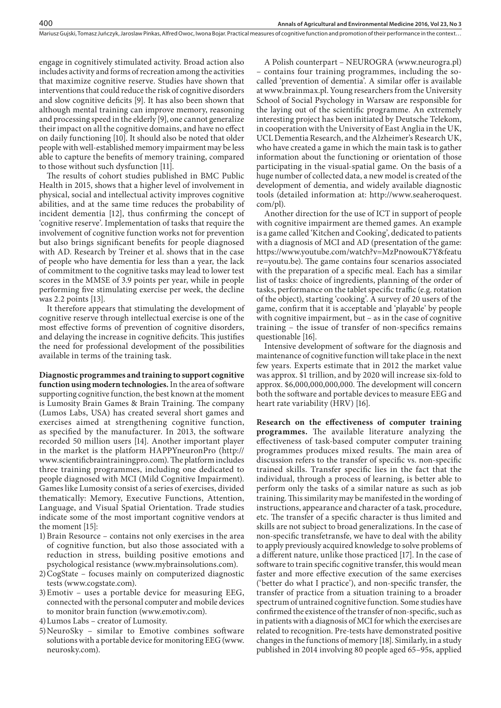Mariusz Gujski, Tomasz Juńczyk, Jaroslaw Pinkas, Alfred Owoc, Iwona Bojar . Practical measures of cognitive function and promotion of their performance in the context…

engage in cognitively stimulated activity. Broad action also includes activity and forms of recreation among the activities that maximize cognitive reserve. Studies have shown that interventions that could reduce the risk of cognitive disorders and slow cognitive deficits [9]. It has also been shown that although mental training can improve memory, reasoning and processing speed in the elderly [9], one cannot generalize their impact on all the cognitive domains, and have no effect on daily functioning [10]. It should also be noted that older people with well-established memory impairment may be less able to capture the benefits of memory training, compared to those without such dysfunction [11].

The results of cohort studies published in BMC Public Health in 2015, shows that a higher level of involvement in physical, social and intellectual activity improves cognitive abilities, and at the same time reduces the probability of incident dementia [12], thus confirming the concept of 'cognitive reserve'. Implementation of tasks that require the involvement of cognitive function works not for prevention but also brings significant benefits for people diagnosed with AD. Research by Treiner et al. shows that in the case of people who have dementia for less than a year, the lack of commitment to the cognitive tasks may lead to lower test scores in the MMSE of 3.9 points per year, while in people performing five stimulating exercise per week, the decline was 2.2 points [13].

It therefore appears that stimulating the development of cognitive reserve through intellectual exercise is one of the most effective forms of prevention of cognitive disorders, and delaying the increase in cognitive deficits. This justifies the need for professional development of the possibilities available in terms of the training task.

**Diagnostic programmes and training to support cognitive function using modern technologies.** In the area of software supporting cognitive function, the best known at the moment is Lumosity Brain Games & Brain Training. The company (Lumos Labs, USA) has created several short games and exercises aimed at strengthening cognitive function, as specified by the manufacturer. In 2013, the software recorded 50 million users [14]. Another important player in the market is the platform HAPPYneuronPro (http:// www.scientificbraintrainingpro.com). The platform includes three training programmes, including one dedicated to people diagnosed with MCI (Mild Cognitive Impairment). Games like Lumosity consist of a series of exercises, divided thematically: Memory, Executive Functions, Attention, Language, and Visual Spatial Orientation. Trade studies indicate some of the most important cognitive vendors at the moment [15]:

- 1)Brain Resource contains not only exercises in the area of cognitive function, but also those associated with a reduction in stress, building positive emotions and psychological resistance (www.mybrainsolutions.com).
- 2)CogState focuses mainly on computerized diagnostic tests (www.cogstate.com).
- 3)Emotiv uses a portable device for measuring EEG, connected with the personal computer and mobile devices to monitor brain function (www.emotiv.com).
- 4)Lumos Labs creator of Lumosity.
- 5)NeuroSky similar to Emotive combines software solutions with a portable device for monitoring EEG (www. neurosky.com).

A Polish counterpart – NEUROGRA [\(www.neurogra.pl](http://www.neurogra.pl)) – contains four training programmes, including the socalled 'prevention of dementia'. A similar offer is available at [www.brainmax.pl](http://www.brainmax.pl). Young researchers from the University School of Social Psychology in Warsaw are responsible for the laying out of the scientific programme. An extremely interesting project has been initiated by Deutsche Telekom, in cooperation with the University of East Anglia in the UK, UCL Dementia Research, and the Alzheimer's Research UK, who have created a game in which the main task is to gather information about the functioning or orientation of those participating in the visual-spatial game. On the basis of a huge number of collected data, a new model is created of the development of dementia, and widely available diagnostic tools (detailed information at: http://www.seaheroquest. com/pl).

Another direction for the use of ICT in support of people with cognitive impairment are themed games. An example is a game called 'Kitchen and Cooking', dedicated to patients with a diagnosis of MCI and AD (presentation of the game: https://www.youtube.com/watch?v=MzPnowouK7Y&featu re=youtu.be). The game contains four scenarios associated with the preparation of a specific meal. Each has a similar list of tasks: choice of ingredients, planning of the order of tasks, performance on the tablet specific traffic (e.g. rotation of the object), starting 'cooking'. A survey of 20 users of the game, confirm that it is acceptable and 'playable' by people with cognitive impairment, but – as in the case of cognitive training – the issue of transfer of non-specifics remains questionable [16].

Intensive development of software for the diagnosis and maintenance of cognitive function will take place in the next few years. Experts estimate that in 2012 the market value was approx. \$1 trillion, and by 2020 will increase six-fold to approx. \$6,000,000,000,000. The development will concern both the software and portable devices to measure EEG and heart rate variability (HRV) [16].

**Research on the effectiveness of computer training programmes.** The available literature analyzing the effectiveness of task-based computer computer training programmes produces mixed results. The main area of discussion refers to the transfer of specific vs. non-specific trained skills. Transfer specific lies in the fact that the individual, through a process of learning, is better able to perform only the tasks of a similar nature as such as job training. This similarity may be manifested in the wording of instructions, appearance and character of a task, procedure, etc. The transfer of a specific character is thus limited and skills are not subject to broad generalizations. In the case of non-specific transfetransfe, we have to deal with the ability to apply previously acquired knowledge to solve problems of a different nature, unlike those practiced [17]. In the case of software to train specific cognitive transfer, this would mean faster and more effective execution of the same exercises ('better do what I practice'), and non-specific transfer, the transfer of practice from a situation training to a broader spectrum of untrained cognitive function. Some studies have confirmed the existence of the transfer of non-specific, such as in patients with a diagnosis of MCI for which the exercises are related to recognition. Pre-tests have demonstrated positive changes in the functions of memory [18]. Similarly, in a study published in 2014 involving 80 people aged 65–95s, applied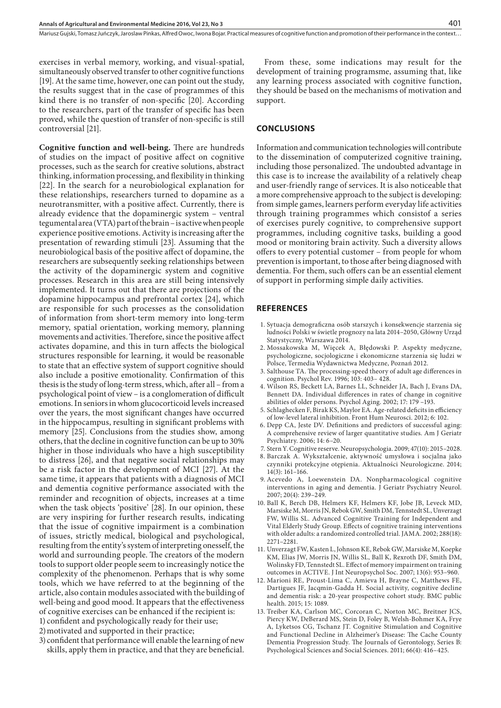Mariusz Gujski, Tomasz Juńczyk, Jaroslaw Pinkas, Alfred Owoc, Iwona Bojar . Practical measures of cognitive function and promotion of their performance in the context…

exercises in verbal memory, working, and visual-spatial, simultaneously observed transfer to other cognitive functions [19]. At the same time, however, one can point out the study, the results suggest that in the case of programmes of this kind there is no transfer of non-specific [20]. According to the researchers, part of the transfer of specific has been proved, while the question of transfer of non-specific is still controversial [21].

**Cognitive function and well-being.** There are hundreds of studies on the impact of positive affect on cognitive processes, such as the search for creative solutions, abstract thinking, information processing, and flexibility in thinking [22]. In the search for a neurobiological explanation for these relationships, researchers turned to dopamine as a neurotransmitter, with a positive affect. Currently, there is already evidence that the dopaminergic system – ventral tegumental area (VTA) part of the brain – is active when people experience positive emotions. Activity is increasing after the presentation of rewarding stimuli [23]. Assuming that the neurobiological basis of the positive affect of dopamine, the researchers are subsequently seeking relationships between the activity of the dopaminergic system and cognitive processes. Research in this area are still being intensively implemented. It turns out that there are projections of the dopamine hippocampus and prefrontal cortex [24], which are responsible for such processes as the consolidation of information from short-term memory into long-term memory, spatial orientation, working memory, planning movements and activities. Therefore, since the positive affect activates dopamine, and this in turn affects the biological structures responsible for learning, it would be reasonable to state that an effective system of support cognitive should also include a positive emotionality. Confirmation of this thesis is the study of long-term stress, which, after all – from a psychological point of view – is a conglomeration of difficult emotions. In seniors in whom glucocorticoid levels increased over the years, the most significant changes have occurred in the hippocampus, resulting in significant problems with memory [25]. Conclusions from the studies show, among others, that the decline in cognitive function can be up to 30% higher in those individuals who have a high susceptibility to distress [26], and that negative social relationships may be a risk factor in the development of MCI [27]. At the same time, it appears that patients with a diagnosis of MCI and dementia cognitive performance associated with the reminder and recognition of objects, increases at a time when the task objects 'positive' [28]. In our opinion, these are very inspiring for further research results, indicating that the issue of cognitive impairment is a combination of issues, strictly medical, biological and psychological, resulting from the entity's system of interpreting onesself, the world and surrounding people. The creators of the modern tools to support older people seem to increasingly notice the complexity of the phenomenon. Perhaps that is why some tools, which we have referred to at the beginning of the article, also contain modules associated with the building of well-being and good mood. It appears that the effectiveness of cognitive exercises can be enhanced if the recipient is: 1) confident and psychologically ready for their use;

2)motivated and supported in their practice;

3) confident that performance will enable the learning of new skills, apply them in practice, and that they are beneficial.

From these, some indications may result for the development of training programsme, assuming that, like any learning process associated with cognitive function, they should be based on the mechanisms of motivation and support.

#### **CONCLUSIONS**

Information and communication technologies will contribute to the dissemination of computerized cognitive training, including those personalized. The undoubted advantage in this case is to increase the availability of a relatively cheap and user-friendly range of services. It is also noticeable that a more comprehensive approach to the subject is developing: from simple games, learners perform everyday life activities through training programmes which consistof a series of exercises purely cognitive, to comprehensive support programmes, including cognitive tasks, building a good mood or monitoring brain activity. Such a diversity allows offers to every potential customer – from people for whom prevention is important, to those after being diagnosed with dementia. For them, such offers can be an essential element of support in performing simple daily activities.

#### **REFERENCES**

- 1. Sytuacja demograficzna osób starszych i konsekwencje starzenia się ludności Polski w świetle prognozy na lata 2014–2050, Główny Urząd Statystyczny, Warszawa 2014.
- 2. Mossakowska M, Więcek A, Błędowski P. Aspekty medyczne, psychologiczne, socjologiczne i ekonomiczne starzenia się ludzi w Polsce, Termedia Wydawnictwa Medyczne, Poznań 2012.
- 3. Salthouse TA. The processing-speed theory of adult age differences in cognition. Psychol Rev. 1996; 103: 403– 428.
- 4. Wilson RS, Beckett LA, Barnes LL, Schneider JA, Bach J, Evans DA, Bennett DA. Individual differences in rates of change in cognitive abilities of older persons. Psychol Aging. 2002; 17: 179 –193.
- 5. Schlaghecken F, Birak KS, Maylor EA. A[ge-related deficits in efficiency](http://www.ncbi.nlm.nih.gov/pubmed/22557955)  [of low-level lateral inhibition.](http://www.ncbi.nlm.nih.gov/pubmed/22557955) Front Hum Neurosci. 2012; 6: 102.
- 6. Depp CA, Jeste DV. Definitions and predictors of successful aging: A comprehensive review of larger quantitative studies. Am J Geriatr Psychiatry. 2006; 14: 6–20.
- 7. Stern Y. Cognitive reserve. Neuropsychologia. 2009; 47(10): 2015–2028.
- 8. Barczak A. Wykształcenie, aktywność umysłowa i socjalna jako czynniki protekcyjne otępienia. Aktualności Neurologiczne. 2014; 14(3): 161–166.
- 9. Acevedo A, Loewenstein DA. Nonpharmacological cognitive interventions in aging and dementia. J Geriatr Psychiatry Neurol. 2007; 20(4): 239–249.
- 10. Ball K, Berch DB, Helmers KF, Helmers KF, Jobe JB, Leveck MD, Marsiske M, Morris JN, Rebok GW, Smith DM, Tennstedt SL, Unverzagt FW, Willis SL. Advanced Cognitive Training for Independent and Vital Elderly Study Group. Effects of cognitive training interventions with older adults: a randomized controlled trial. JAMA. 2002; 288(18): 2271–2281.
- 11. Unverzagt FW, Kasten L, Johnson KE, [Rebok GW](http://www.ncbi.nlm.nih.gov/pubmed?term=%22Rebok GW%22%5BAuthor%5D), [Marsiske M](http://www.ncbi.nlm.nih.gov/pubmed?term=%22Marsiske M%22%5BAuthor%5D), [Koepke](http://www.ncbi.nlm.nih.gov/pubmed?term=%22Koepke KM%22%5BAuthor%5D)  [KM,](http://www.ncbi.nlm.nih.gov/pubmed?term=%22Koepke KM%22%5BAuthor%5D) [Elias JW,](http://www.ncbi.nlm.nih.gov/pubmed?term=%22Elias JW%22%5BAuthor%5D) [Morris JN,](http://www.ncbi.nlm.nih.gov/pubmed?term=%22Morris JN%22%5BAuthor%5D) [Willis SL](http://www.ncbi.nlm.nih.gov/pubmed?term=%22Willis SL%22%5BAuthor%5D), [Ball K](http://www.ncbi.nlm.nih.gov/pubmed?term=%22Ball K%22%5BAuthor%5D), [Rexroth DF,](http://www.ncbi.nlm.nih.gov/pubmed?term=%22Rexroth DF%22%5BAuthor%5D) [Smith DM,](http://www.ncbi.nlm.nih.gov/pubmed?term=%22Smith DM%22%5BAuthor%5D) [Wolinsky FD,](http://www.ncbi.nlm.nih.gov/pubmed?term=%22Wolinsky FD%22%5BAuthor%5D) [Tennstedt SL](http://www.ncbi.nlm.nih.gov/pubmed?term=%22Tennstedt SL%22%5BAuthor%5D). Effect of memory impairment on training outcomes in ACTIVE. J Int Neuropsychol Soc. 2007; 13(6): 953–960.
- 12. Marioni RE, Proust-Lima C, Amieva H, Brayne C, Matthews FE, Dartigues JF, Jacqmin-Gadda H. Social activity, cognitive decline and dementia risk: a 20-year prospective cohort study. BMC public health. 2015; 15: 1089.
- 13. Treiber KA, Carlson MC, Corcoran C, Norton MC, Breitner JCS, Piercy KW, DeBerard MS, Stein D, Foley B, Welsh-Bohmer KA, Frye A, Lyketsos CG, Tschanz JT. Cognitive Stimulation and Cognitive and Functional Decline in Alzheimer's Disease: The Cache County Dementia Progression Study. The Journals of Gerontology, Series B: Psychological Sciences and Social Sciences. 2011; 66(4): 416–425.